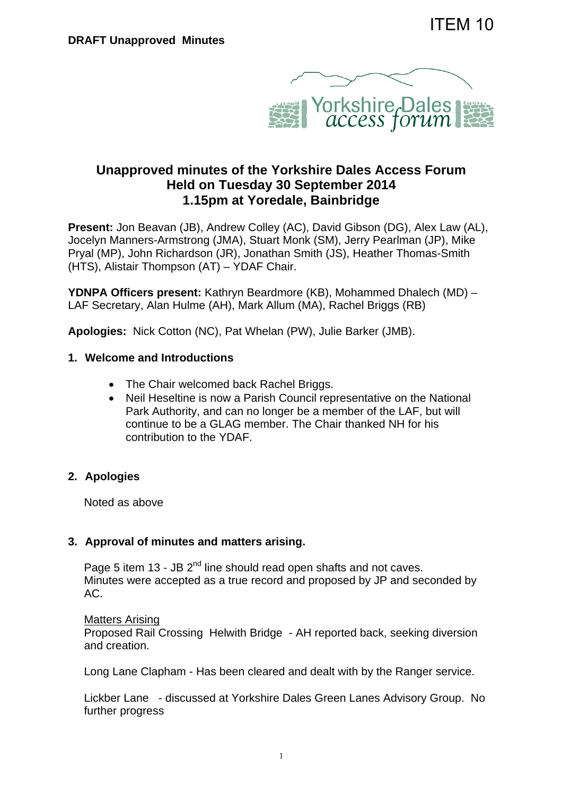

# **Unapproved minutes of the Yorkshire Dales Access Forum Held on Tuesday 30 September 2014 1.15pm at Yoredale, Bainbridge**

**Present:** Jon Beavan (JB), Andrew Colley (AC), David Gibson (DG), Alex Law (AL), Jocelyn Manners-Armstrong (JMA), Stuart Monk (SM), Jerry Pearlman (JP), Mike Pryal (MP), John Richardson (JR), Jonathan Smith (JS), Heather Thomas-Smith (HTS), Alistair Thompson (AT) – YDAF Chair.

**YDNPA Officers present:** Kathryn Beardmore (KB), Mohammed Dhalech (MD) – LAF Secretary, Alan Hulme (AH), Mark Allum (MA), Rachel Briggs (RB)

**Apologies:** Nick Cotton (NC), Pat Whelan (PW), Julie Barker (JMB).

#### **1. Welcome and Introductions**

- The Chair welcomed back Rachel Briggs.
- Neil Heseltine is now a Parish Council representative on the National Park Authority, and can no longer be a member of the LAF, but will continue to be a GLAG member. The Chair thanked NH for his contribution to the YDAF.

### **2. Apologies**

Noted as above

### **3. Approval of minutes and matters arising.**

Page 5 item 13 - JB  $2^{nd}$  line should read open shafts and not caves. Minutes were accepted as a true record and proposed by JP and seconded by AC.

#### Matters Arising

Proposed Rail Crossing Helwith Bridge - AH reported back, seeking diversion and creation.

Long Lane Clapham - Has been cleared and dealt with by the Ranger service.

Lickber Lane - discussed at Yorkshire Dales Green Lanes Advisory Group. No further progress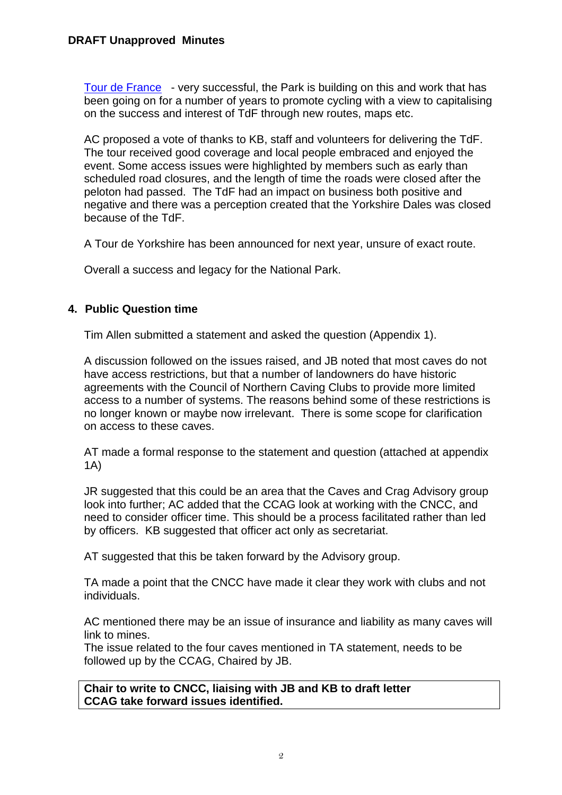Tour de France - very successful, the Park is building on this and work that has been going on for a number of years to promote cycling with a view to capitalising on the success and interest of TdF through new routes, maps etc.

AC proposed a vote of thanks to KB, staff and volunteers for delivering the TdF. The tour received good coverage and local people embraced and enjoyed the event. Some access issues were highlighted by members such as early than scheduled road closures, and the length of time the roads were closed after the peloton had passed. The TdF had an impact on business both positive and negative and there was a perception created that the Yorkshire Dales was closed because of the TdF.

A Tour de Yorkshire has been announced for next year, unsure of exact route.

Overall a success and legacy for the National Park.

# **4. Public Question time**

Tim Allen submitted a statement and asked the question (Appendix 1).

A discussion followed on the issues raised, and JB noted that most caves do not have access restrictions, but that a number of landowners do have historic agreements with the Council of Northern Caving Clubs to provide more limited access to a number of systems. The reasons behind some of these restrictions is no longer known or maybe now irrelevant. There is some scope for clarification on access to these caves.

AT made a formal response to the statement and question (attached at appendix 1A)

JR suggested that this could be an area that the Caves and Crag Advisory group look into further; AC added that the CCAG look at working with the CNCC, and need to consider officer time. This should be a process facilitated rather than led by officers. KB suggested that officer act only as secretariat.

AT suggested that this be taken forward by the Advisory group.

TA made a point that the CNCC have made it clear they work with clubs and not individuals.

AC mentioned there may be an issue of insurance and liability as many caves will link to mines.

The issue related to the four caves mentioned in TA statement, needs to be followed up by the CCAG, Chaired by JB.

**Chair to write to CNCC, liaising with JB and KB to draft letter CCAG take forward issues identified.**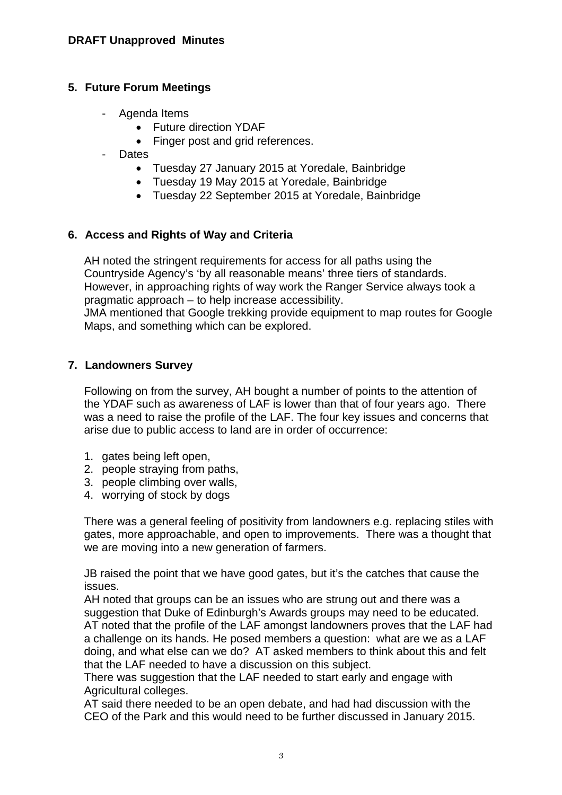### **5. Future Forum Meetings**

- Agenda Items
	- Future direction YDAF
	- Finger post and grid references.
- Dates
	- Tuesday 27 January 2015 at Yoredale, Bainbridge
	- Tuesday 19 May 2015 at Yoredale, Bainbridge
	- Tuesday 22 September 2015 at Yoredale, Bainbridge

# **6. Access and Rights of Way and Criteria**

AH noted the stringent requirements for access for all paths using the Countryside Agency's 'by all reasonable means' three tiers of standards. However, in approaching rights of way work the Ranger Service always took a pragmatic approach – to help increase accessibility. JMA mentioned that Google trekking provide equipment to map routes for Google Maps, and something which can be explored.

# **7. Landowners Survey**

Following on from the survey, AH bought a number of points to the attention of the YDAF such as awareness of LAF is lower than that of four years ago. There was a need to raise the profile of the LAF. The four key issues and concerns that arise due to public access to land are in order of occurrence:

- 1. gates being left open,
- 2. people straying from paths,
- 3. people climbing over walls,
- 4. worrying of stock by dogs

There was a general feeling of positivity from landowners e.g. replacing stiles with gates, more approachable, and open to improvements. There was a thought that we are moving into a new generation of farmers.

JB raised the point that we have good gates, but it's the catches that cause the issues.

AH noted that groups can be an issues who are strung out and there was a suggestion that Duke of Edinburgh's Awards groups may need to be educated. AT noted that the profile of the LAF amongst landowners proves that the LAF had a challenge on its hands. He posed members a question: what are we as a LAF doing, and what else can we do? AT asked members to think about this and felt that the LAF needed to have a discussion on this subject.

There was suggestion that the LAF needed to start early and engage with Agricultural colleges.

AT said there needed to be an open debate, and had had discussion with the CEO of the Park and this would need to be further discussed in January 2015.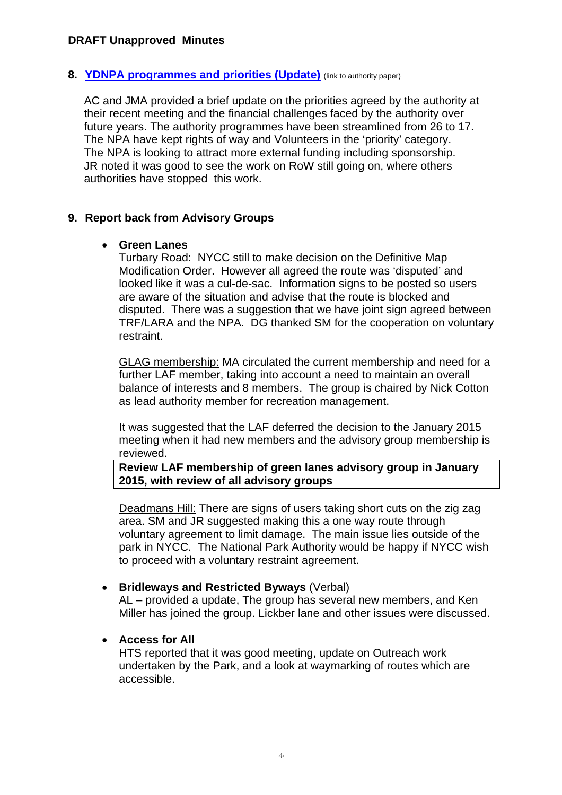#### **8. YDNPA programmes and priorities (Update)** (link to authority paper)

AC and JMA provided a brief update on the priorities agreed by the authority at their recent meeting and the financial challenges faced by the authority over future years. The authority programmes have been streamlined from 26 to 17. The NPA have kept rights of way and Volunteers in the 'priority' category. The NPA is looking to attract more external funding including sponsorship. JR noted it was good to see the work on RoW still going on, where others authorities have stopped this work.

#### **9. Report back from Advisory Groups**

#### **Green Lanes**

Turbary Road: NYCC still to make decision on the Definitive Map Modification Order. However all agreed the route was 'disputed' and looked like it was a cul-de-sac. Information signs to be posted so users are aware of the situation and advise that the route is blocked and disputed. There was a suggestion that we have joint sign agreed between TRF/LARA and the NPA. DG thanked SM for the cooperation on voluntary restraint.

GLAG membership: MA circulated the current membership and need for a further LAF member, taking into account a need to maintain an overall balance of interests and 8 members. The group is chaired by Nick Cotton as lead authority member for recreation management.

It was suggested that the LAF deferred the decision to the January 2015 meeting when it had new members and the advisory group membership is reviewed.

**Review LAF membership of green lanes advisory group in January 2015, with review of all advisory groups** 

Deadmans Hill: There are signs of users taking short cuts on the zig zag area. SM and JR suggested making this a one way route through voluntary agreement to limit damage. The main issue lies outside of the park in NYCC. The National Park Authority would be happy if NYCC wish to proceed with a voluntary restraint agreement.

#### **Bridleways and Restricted Byways** (Verbal)

AL – provided a update, The group has several new members, and Ken Miller has joined the group. Lickber lane and other issues were discussed.

### **Access for All**

HTS reported that it was good meeting, update on Outreach work undertaken by the Park, and a look at waymarking of routes which are accessible.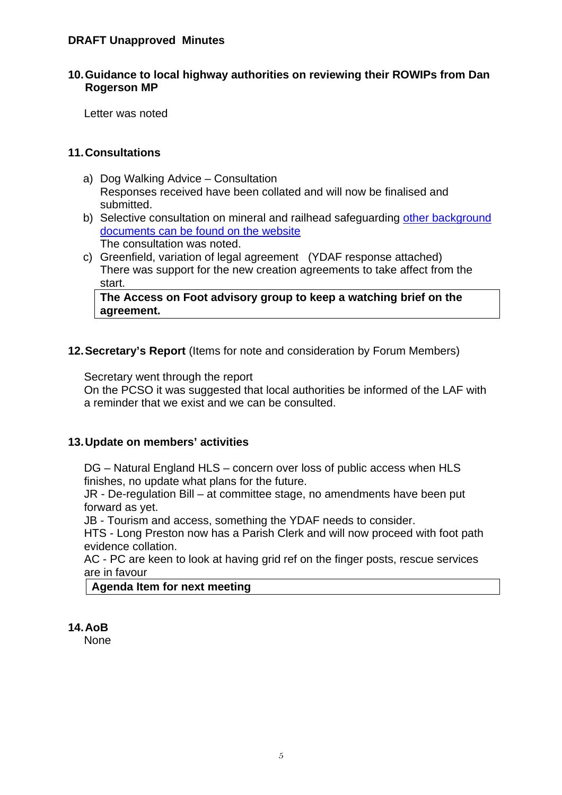#### **10. Guidance to local highway authorities on reviewing their ROWIPs from Dan Rogerson MP**

Letter was noted

### **11. Consultations**

- a) Dog Walking Advice Consultation Responses received have been collated and will now be finalised and submitted.
- b) Selective consultation on mineral and railhead safeguarding other background documents can be found on the website The consultation was noted.
- c) Greenfield, variation of legal agreement (YDAF response attached) There was support for the new creation agreements to take affect from the start.

**The Access on Foot advisory group to keep a watching brief on the agreement.** 

# **12. Secretary's Report** (Items for note and consideration by Forum Members)

Secretary went through the report

On the PCSO it was suggested that local authorities be informed of the LAF with a reminder that we exist and we can be consulted.

### **13. Update on members' activities**

DG – Natural England HLS – concern over loss of public access when HLS finishes, no update what plans for the future.

JR - De-regulation Bill – at committee stage, no amendments have been put forward as yet.

JB - Tourism and access, something the YDAF needs to consider.

HTS - Long Preston now has a Parish Clerk and will now proceed with foot path evidence collation.

AC - PC are keen to look at having grid ref on the finger posts, rescue services are in favour

### **Agenda Item for next meeting**

## **14. AoB**

None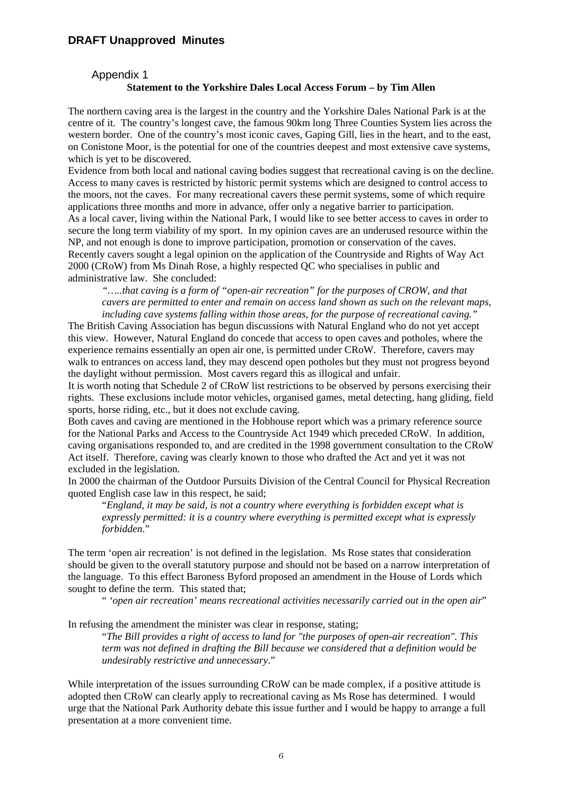#### Appendix 1

#### **Statement to the Yorkshire Dales Local Access Forum – by Tim Allen**

The northern caving area is the largest in the country and the Yorkshire Dales National Park is at the centre of it. The country's longest cave, the famous 90km long Three Counties System lies across the western border. One of the country's most iconic caves, Gaping Gill, lies in the heart, and to the east, on Conistone Moor, is the potential for one of the countries deepest and most extensive cave systems, which is yet to be discovered.

Evidence from both local and national caving bodies suggest that recreational caving is on the decline. Access to many caves is restricted by historic permit systems which are designed to control access to the moors, not the caves. For many recreational cavers these permit systems, some of which require applications three months and more in advance, offer only a negative barrier to participation. As a local caver, living within the National Park, I would like to see better access to caves in order to secure the long term viability of my sport. In my opinion caves are an underused resource within the NP, and not enough is done to improve participation, promotion or conservation of the caves. Recently cavers sought a legal opinion on the application of the Countryside and Rights of Way Act 2000 (CRoW) from Ms Dinah Rose, a highly respected QC who specialises in public and administrative law. She concluded:

*"…..that caving is a form of "open-air recreation" for the purposes of CROW, and that cavers are permitted to enter and remain on access land shown as such on the relevant maps, including cave systems falling within those areas, for the purpose of recreational caving."* 

The British Caving Association has begun discussions with Natural England who do not yet accept this view. However, Natural England do concede that access to open caves and potholes, where the experience remains essentially an open air one, is permitted under CRoW. Therefore, cavers may walk to entrances on access land, they may descend open potholes but they must not progress beyond the daylight without permission. Most cavers regard this as illogical and unfair.

It is worth noting that Schedule 2 of CRoW list restrictions to be observed by persons exercising their rights. These exclusions include motor vehicles, organised games, metal detecting, hang gliding, field sports, horse riding, etc., but it does not exclude caving.

Both caves and caving are mentioned in the Hobhouse report which was a primary reference source for the National Parks and Access to the Countryside Act 1949 which preceded CRoW. In addition, caving organisations responded to, and are credited in the 1998 government consultation to the CRoW Act itself. Therefore, caving was clearly known to those who drafted the Act and yet it was not excluded in the legislation.

In 2000 the chairman of the Outdoor Pursuits Division of the Central Council for Physical Recreation quoted English case law in this respect, he said;

"*England, it may be said, is not a country where everything is forbidden except what is expressly permitted: it is a country where everything is permitted except what is expressly forbidden*."

The term 'open air recreation' is not defined in the legislation. Ms Rose states that consideration should be given to the overall statutory purpose and should not be based on a narrow interpretation of the language. To this effect Baroness Byford proposed an amendment in the House of Lords which sought to define the term. This stated that;

" *'open air recreation' means recreational activities necessarily carried out in the open air*"

In refusing the amendment the minister was clear in response, stating;

"*The Bill provides a right of access to land for "the purposes of open-air recreation". This term was not defined in drafting the Bill because we considered that a definition would be undesirably restrictive and unnecessary*."

While interpretation of the issues surrounding CRoW can be made complex, if a positive attitude is adopted then CRoW can clearly apply to recreational caving as Ms Rose has determined. I would urge that the National Park Authority debate this issue further and I would be happy to arrange a full presentation at a more convenient time.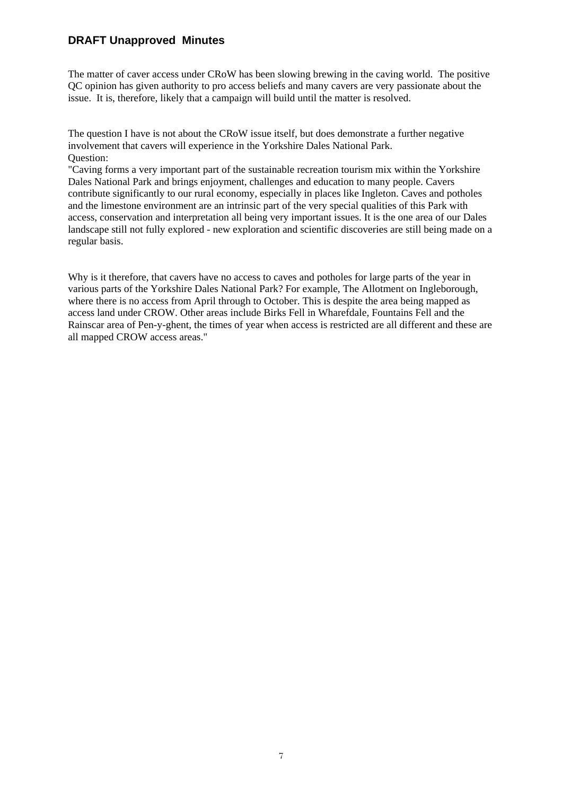The matter of caver access under CRoW has been slowing brewing in the caving world. The positive QC opinion has given authority to pro access beliefs and many cavers are very passionate about the issue. It is, therefore, likely that a campaign will build until the matter is resolved.

The question I have is not about the CRoW issue itself, but does demonstrate a further negative involvement that cavers will experience in the Yorkshire Dales National Park. Question:

"Caving forms a very important part of the sustainable recreation tourism mix within the Yorkshire Dales National Park and brings enjoyment, challenges and education to many people. Cavers contribute significantly to our rural economy, especially in places like Ingleton. Caves and potholes and the limestone environment are an intrinsic part of the very special qualities of this Park with access, conservation and interpretation all being very important issues. It is the one area of our Dales landscape still not fully explored - new exploration and scientific discoveries are still being made on a regular basis.

Why is it therefore, that cavers have no access to caves and potholes for large parts of the year in various parts of the Yorkshire Dales National Park? For example, The Allotment on Ingleborough, where there is no access from April through to October. This is despite the area being mapped as access land under CROW. Other areas include Birks Fell in Wharefdale, Fountains Fell and the Rainscar area of Pen-y-ghent, the times of year when access is restricted are all different and these are all mapped CROW access areas."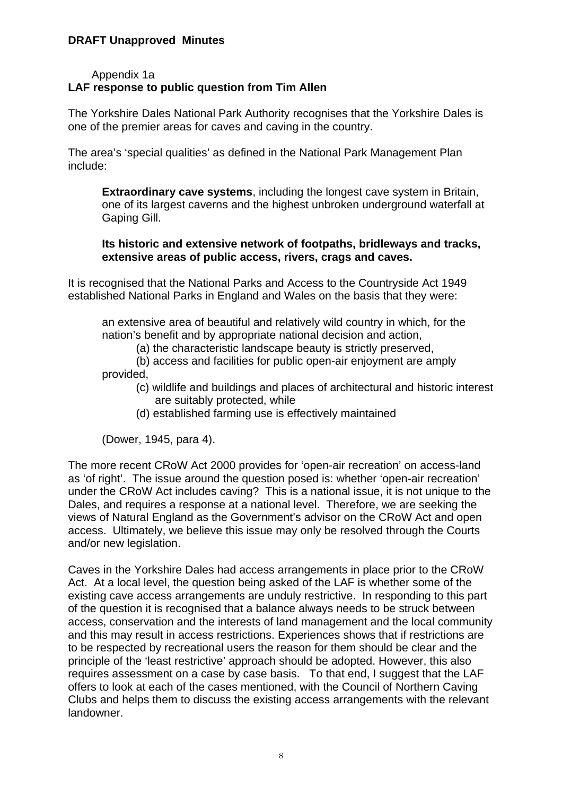### Appendix 1a **LAF response to public question from Tim Allen**

The Yorkshire Dales National Park Authority recognises that the Yorkshire Dales is one of the premier areas for caves and caving in the country.

The area's 'special qualities' as defined in the National Park Management Plan include:

**Extraordinary cave systems**, including the longest cave system in Britain, one of its largest caverns and the highest unbroken underground waterfall at Gaping Gill.

### **Its historic and extensive network of footpaths, bridleways and tracks, extensive areas of public access, rivers, crags and caves.**

It is recognised that the National Parks and Access to the Countryside Act 1949 established National Parks in England and Wales on the basis that they were:

an extensive area of beautiful and relatively wild country in which, for the nation's benefit and by appropriate national decision and action,

(a) the characteristic landscape beauty is strictly preserved,

(b) access and facilities for public open-air enjoyment are amply provided,

- (c) wildlife and buildings and places of architectural and historic interest are suitably protected, while
- (d) established farming use is effectively maintained

(Dower, 1945, para 4).

The more recent CRoW Act 2000 provides for 'open-air recreation' on access-land as 'of right'. The issue around the question posed is: whether 'open-air recreation' under the CRoW Act includes caving? This is a national issue, it is not unique to the Dales, and requires a response at a national level. Therefore, we are seeking the views of Natural England as the Government's advisor on the CRoW Act and open access. Ultimately, we believe this issue may only be resolved through the Courts and/or new legislation.

Caves in the Yorkshire Dales had access arrangements in place prior to the CRoW Act. At a local level, the question being asked of the LAF is whether some of the existing cave access arrangements are unduly restrictive. In responding to this part of the question it is recognised that a balance always needs to be struck between access, conservation and the interests of land management and the local community and this may result in access restrictions. Experiences shows that if restrictions are to be respected by recreational users the reason for them should be clear and the principle of the 'least restrictive' approach should be adopted. However, this also requires assessment on a case by case basis. To that end, I suggest that the LAF offers to look at each of the cases mentioned, with the Council of Northern Caving Clubs and helps them to discuss the existing access arrangements with the relevant landowner.